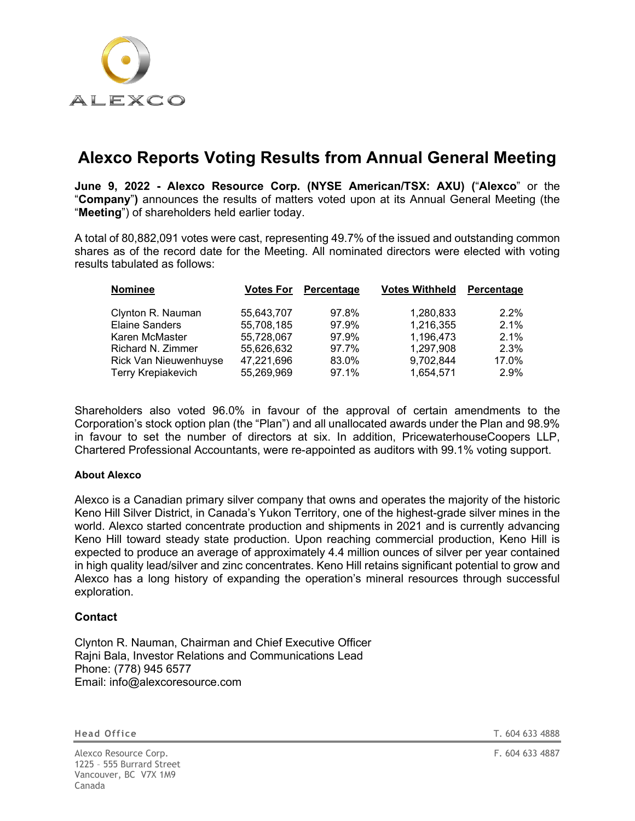

## **Alexco Reports Voting Results from Annual General Meeting**

**June 9, 2022 - Alexco Resource Corp. (NYSE American/TSX: AXU) (**"**Alexco**" or the "**Company**"**)** announces the results of matters voted upon at its Annual General Meeting (the "**Meeting**") of shareholders held earlier today.

A total of 80,882,091 votes were cast, representing 49.7% of the issued and outstanding common shares as of the record date for the Meeting. All nominated directors were elected with voting results tabulated as follows:

| <b>Nominee</b>            | <b>Votes For</b> | Percentage | <b>Votes Withheld</b> | Percentage |
|---------------------------|------------------|------------|-----------------------|------------|
| Clynton R. Nauman         | 55,643,707       | 97.8%      | 1,280,833             | $2.2\%$    |
| <b>Elaine Sanders</b>     | 55,708,185       | 97.9%      | 1,216,355             | $2.1\%$    |
| Karen McMaster            | 55,728,067       | 97.9%      | 1,196,473             | $2.1\%$    |
| Richard N. Zimmer         | 55,626,632       | 97.7%      | 1,297,908             | 2.3%       |
| Rick Van Nieuwenhuyse     | 47,221,696       | 83.0%      | 9,702,844             | 17.0%      |
| <b>Terry Krepiakevich</b> | 55,269,969       | 97.1%      | 1,654,571             | 2.9%       |

Shareholders also voted 96.0% in favour of the approval of certain amendments to the Corporation's stock option plan (the "Plan") and all unallocated awards under the Plan and 98.9% in favour to set the number of directors at six. In addition, PricewaterhouseCoopers LLP, Chartered Professional Accountants, were re-appointed as auditors with 99.1% voting support.

## **About Alexco**

Alexco is a Canadian primary silver company that owns and operates the majority of the historic Keno Hill Silver District, in Canada's Yukon Territory, one of the highest-grade silver mines in the world. Alexco started concentrate production and shipments in 2021 and is currently advancing Keno Hill toward steady state production. Upon reaching commercial production, Keno Hill is expected to produce an average of approximately 4.4 million ounces of silver per year contained in high quality lead/silver and zinc concentrates. Keno Hill retains significant potential to grow and Alexco has a long history of expanding the operation's mineral resources through successful exploration.

## **Contact**

Clynton R. Nauman, Chairman and Chief Executive Officer Rajni Bala, Investor Relations and Communications Lead Phone: (778) 945 6577 Email: info@alexcoresource.com

Alexco Resource Corp. **F. 604 633 4887** 1225 – 555 Burrard Street Vancouver, BC V7X 1M9 Canada

**Head Office** T. 604 633 4888